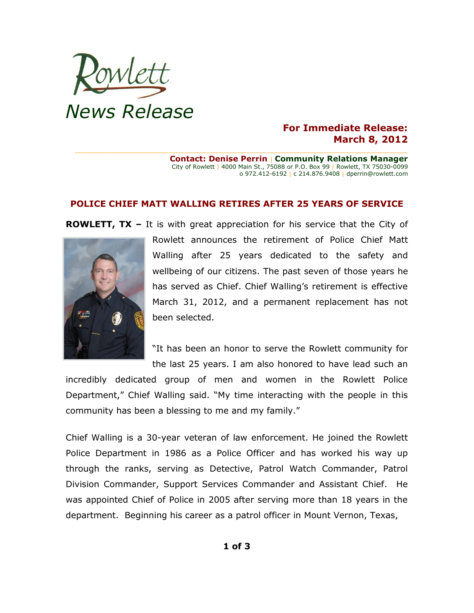

## **For Immediate Release: March 8, 2012**

**Contact: Denise Perrin** | **Community Relations Manager** City of Rowlett | 4000 Main St., 75088 or P.O. Box 99 | Rowlett, TX 75030-0099 o 972.412-6192 | c 214.876.9408 | dperrin@rowlett.com

## **POLICE CHIEF MATT WALLING RETIRES AFTER 25 YEARS OF SERVICE**

**\_\_\_\_\_\_\_\_\_\_\_\_\_\_\_\_\_\_\_\_\_\_\_\_\_\_\_\_\_\_\_\_\_\_\_\_\_\_\_\_\_\_\_\_\_\_\_\_\_\_\_\_\_\_\_\_\_\_\_\_\_\_\_\_\_\_\_\_\_\_\_\_\_\_\_\_\_\_\_\_\_\_\_\_\_\_**

**ROWLETT, TX –** It is with great appreciation for his service that the City of



Rowlett announces the retirement of Police Chief Matt Walling after 25 years dedicated to the safety and wellbeing of our citizens. The past seven of those years he has served as Chief. Chief Walling's retirement is effective March 31, 2012, and a permanent replacement has not been selected.

"It has been an honor to serve the Rowlett community for the last 25 years. I am also honored to have lead such an

incredibly dedicated group of men and women in the Rowlett Police Department," Chief Walling said. "My time interacting with the people in this community has been a blessing to me and my family."

Chief Walling is a 30-year veteran of law enforcement. He joined the Rowlett Police Department in 1986 as a Police Officer and has worked his way up through the ranks, serving as Detective, Patrol Watch Commander, Patrol Division Commander, Support Services Commander and Assistant Chief. He was appointed Chief of Police in 2005 after serving more than 18 years in the department. Beginning his career as a patrol officer in Mount Vernon, Texas,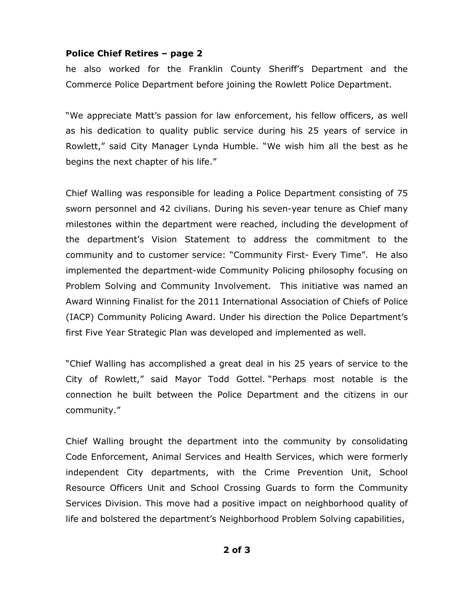## **Police Chief Retires – page 2**

he also worked for the Franklin County Sheriff's Department and the Commerce Police Department before joining the Rowlett Police Department.

"We appreciate Matt's passion for law enforcement, his fellow officers, as well as his dedication to quality public service during his 25 years of service in Rowlett," said City Manager Lynda Humble. "We wish him all the best as he begins the next chapter of his life."

Chief Walling was responsible for leading a Police Department consisting of 75 sworn personnel and 42 civilians. During his seven-year tenure as Chief many milestones within the department were reached, including the development of the department's Vision Statement to address the commitment to the community and to customer service: "Community First- Every Time". He also implemented the department-wide Community Policing philosophy focusing on Problem Solving and Community Involvement. This initiative was named an Award Winning Finalist for the 2011 International Association of Chiefs of Police (IACP) Community Policing Award. Under his direction the Police Department's first Five Year Strategic Plan was developed and implemented as well.

"Chief Walling has accomplished a great deal in his 25 years of service to the City of Rowlett," said Mayor Todd Gottel. "Perhaps most notable is the connection he built between the Police Department and the citizens in our community."

Chief Walling brought the department into the community by consolidating Code Enforcement, Animal Services and Health Services, which were formerly independent City departments, with the Crime Prevention Unit, School Resource Officers Unit and School Crossing Guards to form the Community Services Division. This move had a positive impact on neighborhood quality of life and bolstered the department's Neighborhood Problem Solving capabilities,